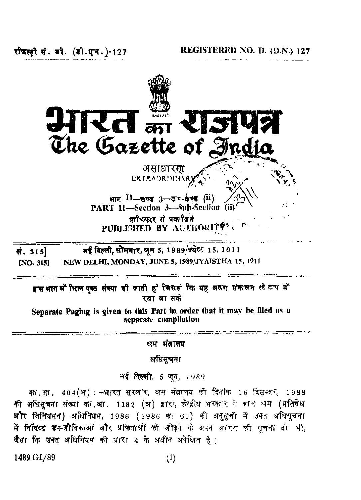रीजस्त्री सं. बी. (डी.एन.)-127

**REGISTERED NO. D. (D.N.) 127**



श्रम मंत्रालय

अधिसूचना

नई दिल्ली, 5 जून, 1989

क्या था. 404 (अ) : - भारत सरकार, अम मंत्रालय की दिनांक 16 दिसम्बर, 1988 की अधिसूचना संख्या को आ. 1182 (अ) द्वारा, केन्द्रीय शरकार ने बाल श्रम (प्रतिषेध अौर विनियमन) अधिनियम, 1986 (1986 का 61) की अनुसूची में उक्त अधिसूचना में निर्दिब्द उप-जीविकाओं और प्रक्रिपाओं को जोड़ने के अपने अ(गय की सूचना दी थी, जैस कि उक्त अधिनियम की धारा 4 के अवीन अपेक्षित है;

**1489 GI/89 (1)**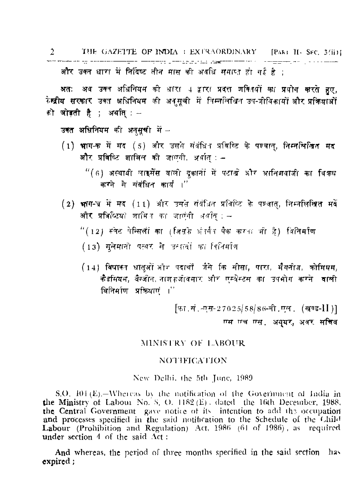2 THE GAZETTE OF INDIA : EXTRAORDINARY [PART II] SEC. 3(ii)] المن المستقدمات المن المناطقة المتعلم المن المن المناطقة المناطقة المستقدمات المستقدمات المناطقة المناطقة المنا और उक्त धारा में निर्दिष्ट तीन मास की अवधि समाप्त हो गई है :

अतः अब उक्त अधिनियम को धारा 4 द्वारा प्रदत्त शक्तियों का प्रयोग करते हुए, रेम्ब्रीय सरकार उक्त अधिनियम की अनुसूची में निम्नलिखित उप-जीविकायों और प्रक्रियाओं को **जोडती है** ; अर्थात् : -

उक्त अधिनियम की अनसूची में -

- (1) भाग-क में मद (5) और उसने संबंधित प्रविष्टि के पश्चात्, निम्नलिखित मद और प्रविष्टि शामिल की जाएगी, अर्थात : -
	- "(6) अस्थायी लाइसेंस वाली दुकानों में पटाखे और आनिशवाजी का विकथ करने से संबंधित कार्य ।''
- (2) भाग-व में मद (11) और उसते संबंधित प्रविष्टि के पण्वात, निम्नलिखित मर्दे और प्रविव्यियों शामित का जाएंगी अर्थात : -

"(12) स्वेट पेन्सिलों का (जिसके अंतर्गत पैक करता भी है) विनिर्माण

(13) मुलेमानो पत्थर से उत्पादों का वितिर्माण

(14) विषाक्त धातुओं और पदार्थों जैसे कि सीसा, पारा, भैगनीज, कोमियम, कैडमियम, बैन्जीन, नाश्*फर्जा*वमार और एस्बेस्टस का उपभोग करने। वाली विनिर्माण प्रश्नियाणं ।"

> [फा.सं.-एस-27025/58/86-सी.एल. (खण्ड-11)] एस एच एस. अयुयर, अत्रर सचिव

## MINISTRY OF LABOUR

## **NOTIFICATION**

New Delhi, the 5th June, 1989.

S.O.  $101(E)$ . Whereas by the notification of the Government of India in the Ministry of Labour No. S. O. 1182 (E), dated the 16th December, 1988, the Central Government gave notice of its intention to add the occupation and processes specified in the said notification to the Schedule of the Child Labour (Prohibition and Regulation) Act, 1986 (61 of 1986), as required under section 4 of the said Act:

And whereas, the period of three months specified in the said section has expired;